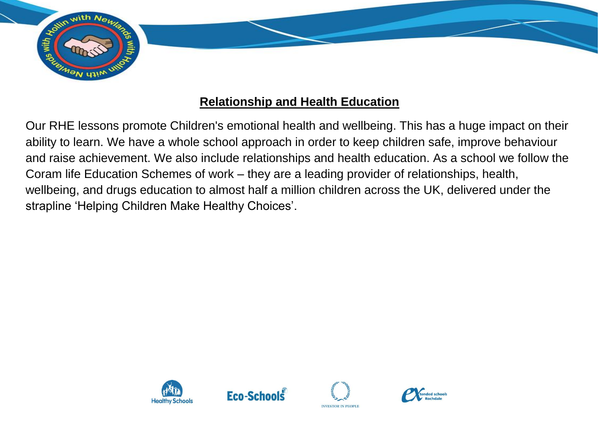

## **Relationship and Health Education**

Our RHE lessons promote Children's emotional health and wellbeing. This has a huge impact on their ability to learn. We have a whole school approach in order to keep children safe, improve behaviour and raise achievement. We also include relationships and health education. As a school we follow the Coram life Education Schemes of work – they are a leading provider of relationships, health, wellbeing, and drugs education to almost half a million children across the UK, delivered under the strapline 'Helping Children Make Healthy Choices'.